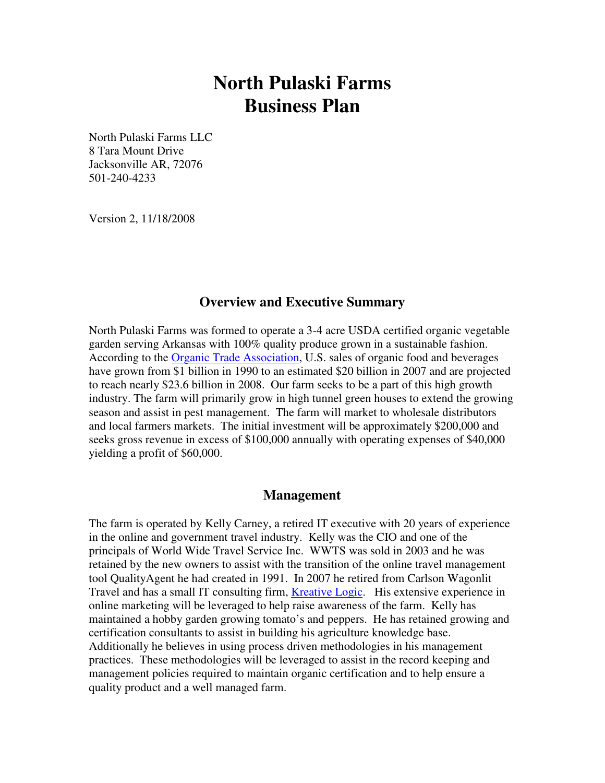# **North Pulaski Farms Business Plan**

North Pulaski Farms LLC 8 Tara Mount Drive Jacksonville AR, 72076 501-240-4233

Version 2, 11/18/2008

#### **Overview and Executive Summary**

North Pulaski Farms was formed to operate a 3-4 acre USDA certified organic vegetable garden serving Arkansas with 100% quality produce grown in a sustainable fashion. According to the Organic Trade Association, U.S. sales of organic food and beverages have grown from \$1 billion in 1990 to an estimated \$20 billion in 2007 and are projected to reach nearly \$23.6 billion in 2008. Our farm seeks to be a part of this high growth industry. The farm will primarily grow in high tunnel green houses to extend the growing season and assist in pest management. The farm will market to wholesale distributors and local farmers markets. The initial investment will be approximately \$200,000 and seeks gross revenue in excess of \$100,000 annually with operating expenses of \$40,000 yielding a profit of \$60,000.

#### **Management**

The farm is operated by Kelly Carney, a retired IT executive with 20 years of experience in the online and government travel industry. Kelly was the CIO and one of the principals of World Wide Travel Service Inc. WWTS was sold in 2003 and he was retained by the new owners to assist with the transition of the online travel management tool QualityAgent he had created in 1991. In 2007 he retired from Carlson Wagonlit Travel and has a small IT consulting firm, Kreative Logic. His extensive experience in online marketing will be leveraged to help raise awareness of the farm. Kelly has maintained a hobby garden growing tomato's and peppers. He has retained growing and certification consultants to assist in building his agriculture knowledge base. Additionally he believes in using process driven methodologies in his management practices. These methodologies will be leveraged to assist in the record keeping and management policies required to maintain organic certification and to help ensure a quality product and a well managed farm.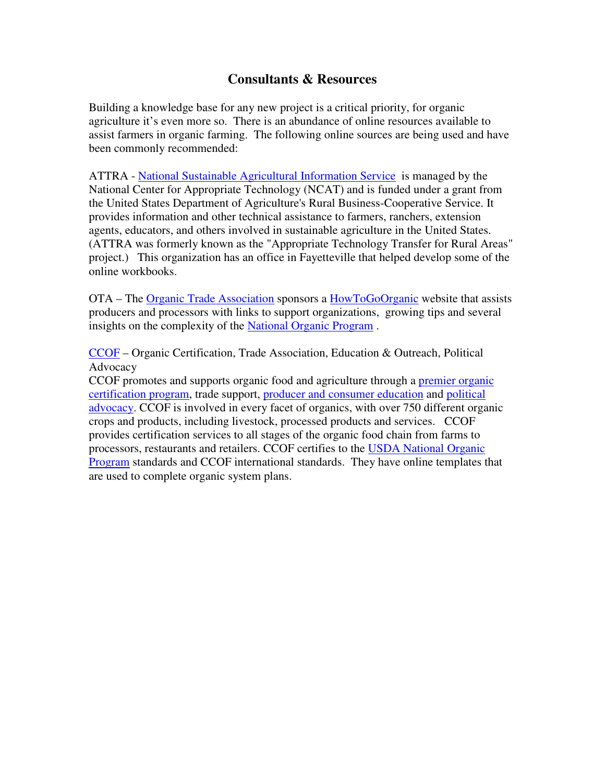# **Consultants & Resources**

Building a knowledge base for any new project is a critical priority, for organic agriculture it's even more so. There is an abundance of online resources available to assist farmers in organic farming. The following online sources are being used and have been commonly recommended:

ATTRA - National Sustainable Agricultural Information Service is managed by the National Center for Appropriate Technology (NCAT) and is funded under a grant from the United States Department of Agriculture's Rural Business-Cooperative Service. It provides information and other technical assistance to farmers, ranchers, extension agents, educators, and others involved in sustainable agriculture in the United States. (ATTRA was formerly known as the "Appropriate Technology Transfer for Rural Areas" project.) This organization has an office in Fayetteville that helped develop some of the online workbooks.

OTA – The Organic Trade Association sponsors a HowToGoOrganic website that assists producers and processors with links to support organizations, growing tips and several insights on the complexity of the National Organic Program .

CCOF – Organic Certification, Trade Association, Education & Outreach, Political Advocacy

CCOF promotes and supports organic food and agriculture through a premier organic certification program, trade support, producer and consumer education and political advocacy. CCOF is involved in every facet of organics, with over 750 different organic crops and products, including livestock, processed products and services. CCOF provides certification services to all stages of the organic food chain from farms to processors, restaurants and retailers. CCOF certifies to the USDA National Organic Program standards and CCOF international standards. They have online templates that are used to complete organic system plans.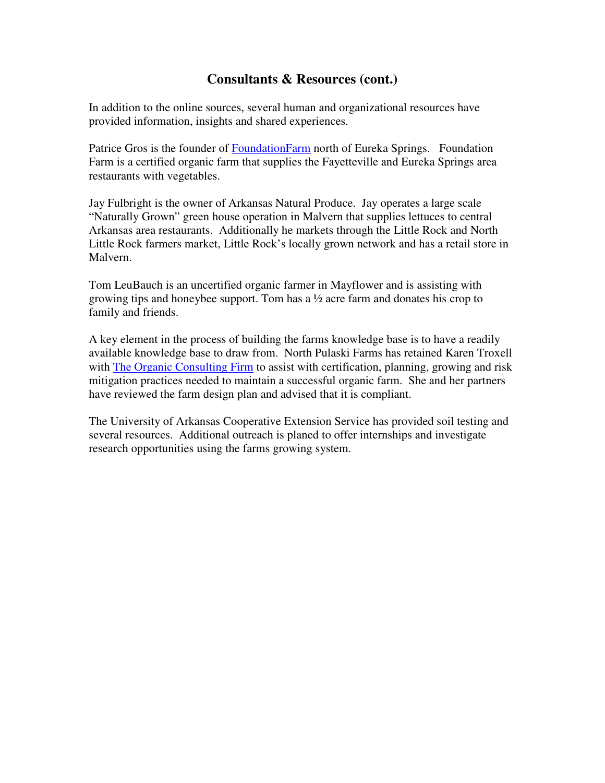# **Consultants & Resources (cont.)**

In addition to the online sources, several human and organizational resources have provided information, insights and shared experiences.

Patrice Gros is the founder of FoundationFarm north of Eureka Springs. Foundation Farm is a certified organic farm that supplies the Fayetteville and Eureka Springs area restaurants with vegetables.

Jay Fulbright is the owner of Arkansas Natural Produce. Jay operates a large scale "Naturally Grown" green house operation in Malvern that supplies lettuces to central Arkansas area restaurants. Additionally he markets through the Little Rock and North Little Rock farmers market, Little Rock's locally grown network and has a retail store in Malvern.

Tom LeuBauch is an uncertified organic farmer in Mayflower and is assisting with growing tips and honeybee support. Tom has a ½ acre farm and donates his crop to family and friends.

A key element in the process of building the farms knowledge base is to have a readily available knowledge base to draw from. North Pulaski Farms has retained Karen Troxell with The Organic Consulting Firm to assist with certification, planning, growing and risk mitigation practices needed to maintain a successful organic farm. She and her partners have reviewed the farm design plan and advised that it is compliant.

The University of Arkansas Cooperative Extension Service has provided soil testing and several resources. Additional outreach is planed to offer internships and investigate research opportunities using the farms growing system.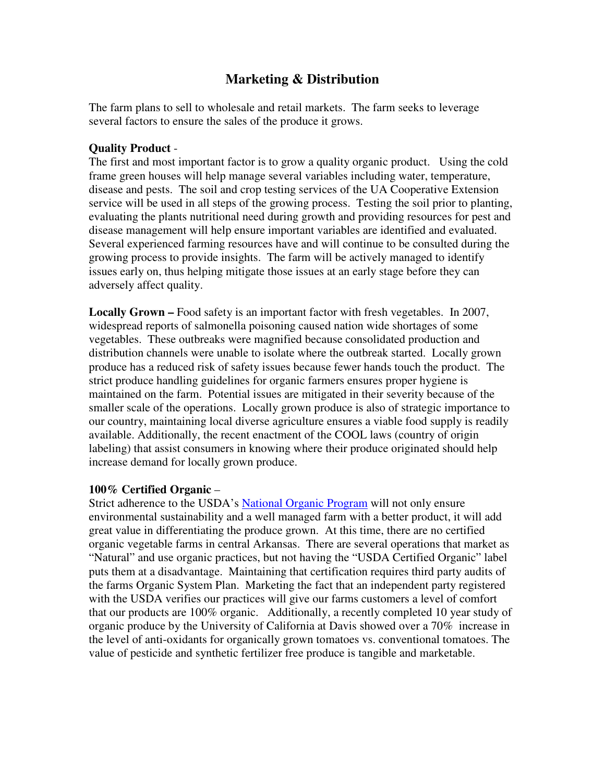# **Marketing & Distribution**

The farm plans to sell to wholesale and retail markets. The farm seeks to leverage several factors to ensure the sales of the produce it grows.

#### **Quality Product** -

The first and most important factor is to grow a quality organic product. Using the cold frame green houses will help manage several variables including water, temperature, disease and pests. The soil and crop testing services of the UA Cooperative Extension service will be used in all steps of the growing process. Testing the soil prior to planting, evaluating the plants nutritional need during growth and providing resources for pest and disease management will help ensure important variables are identified and evaluated. Several experienced farming resources have and will continue to be consulted during the growing process to provide insights. The farm will be actively managed to identify issues early on, thus helping mitigate those issues at an early stage before they can adversely affect quality.

**Locally Grown –** Food safety is an important factor with fresh vegetables. In 2007, widespread reports of salmonella poisoning caused nation wide shortages of some vegetables. These outbreaks were magnified because consolidated production and distribution channels were unable to isolate where the outbreak started. Locally grown produce has a reduced risk of safety issues because fewer hands touch the product. The strict produce handling guidelines for organic farmers ensures proper hygiene is maintained on the farm. Potential issues are mitigated in their severity because of the smaller scale of the operations. Locally grown produce is also of strategic importance to our country, maintaining local diverse agriculture ensures a viable food supply is readily available. Additionally, the recent enactment of the COOL laws (country of origin labeling) that assist consumers in knowing where their produce originated should help increase demand for locally grown produce.

#### **100% Certified Organic** –

Strict adherence to the USDA's National Organic Program will not only ensure environmental sustainability and a well managed farm with a better product, it will add great value in differentiating the produce grown. At this time, there are no certified organic vegetable farms in central Arkansas. There are several operations that market as "Natural" and use organic practices, but not having the "USDA Certified Organic" label puts them at a disadvantage. Maintaining that certification requires third party audits of the farms Organic System Plan. Marketing the fact that an independent party registered with the USDA verifies our practices will give our farms customers a level of comfort that our products are 100% organic. Additionally, a recently completed 10 year study of organic produce by the University of California at Davis showed over a 70% increase in the level of anti-oxidants for organically grown tomatoes vs. conventional tomatoes. The value of pesticide and synthetic fertilizer free produce is tangible and marketable.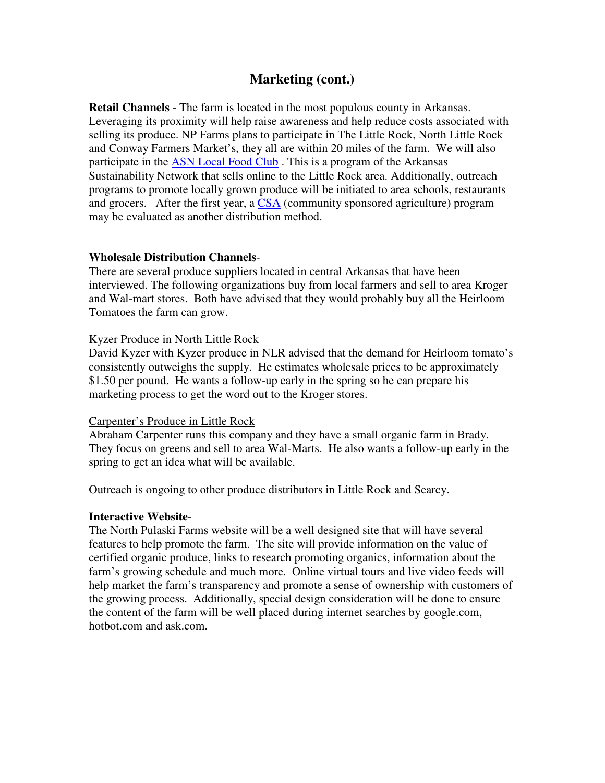### **Marketing (cont.)**

**Retail Channels** - The farm is located in the most populous county in Arkansas. Leveraging its proximity will help raise awareness and help reduce costs associated with selling its produce. NP Farms plans to participate in The Little Rock, North Little Rock and Conway Farmers Market's, they all are within 20 miles of the farm. We will also participate in the **ASN** Local Food Club. This is a program of the Arkansas Sustainability Network that sells online to the Little Rock area. Additionally, outreach programs to promote locally grown produce will be initiated to area schools, restaurants and grocers. After the first year, a CSA (community sponsored agriculture) program may be evaluated as another distribution method.

#### **Wholesale Distribution Channels**-

There are several produce suppliers located in central Arkansas that have been interviewed. The following organizations buy from local farmers and sell to area Kroger and Wal-mart stores. Both have advised that they would probably buy all the Heirloom Tomatoes the farm can grow.

#### Kyzer Produce in North Little Rock

David Kyzer with Kyzer produce in NLR advised that the demand for Heirloom tomato's consistently outweighs the supply. He estimates wholesale prices to be approximately \$1.50 per pound. He wants a follow-up early in the spring so he can prepare his marketing process to get the word out to the Kroger stores.

#### Carpenter's Produce in Little Rock

Abraham Carpenter runs this company and they have a small organic farm in Brady. They focus on greens and sell to area Wal-Marts. He also wants a follow-up early in the spring to get an idea what will be available.

Outreach is ongoing to other produce distributors in Little Rock and Searcy.

#### **Interactive Website**-

The North Pulaski Farms website will be a well designed site that will have several features to help promote the farm. The site will provide information on the value of certified organic produce, links to research promoting organics, information about the farm's growing schedule and much more. Online virtual tours and live video feeds will help market the farm's transparency and promote a sense of ownership with customers of the growing process. Additionally, special design consideration will be done to ensure the content of the farm will be well placed during internet searches by google.com, hotbot.com and ask.com.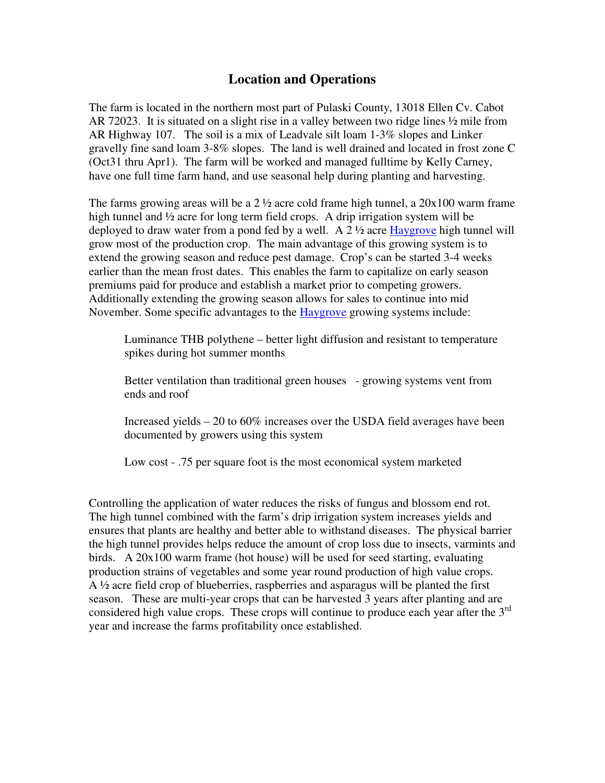# **Location and Operations**

The farm is located in the northern most part of Pulaski County, 13018 Ellen Cv. Cabot AR 72023. It is situated on a slight rise in a valley between two ridge lines ½ mile from AR Highway 107. The soil is a mix of Leadvale silt loam 1-3% slopes and Linker gravelly fine sand loam 3-8% slopes. The land is well drained and located in frost zone C (Oct31 thru Apr1). The farm will be worked and managed fulltime by Kelly Carney, have one full time farm hand, and use seasonal help during planting and harvesting.

The farms growing areas will be a  $2\frac{1}{2}$  acre cold frame high tunnel, a  $20x100$  warm frame high tunnel and  $\frac{1}{2}$  acre for long term field crops. A drip irrigation system will be deployed to draw water from a pond fed by a well. A  $2\frac{1}{2}$  acre Haygrove high tunnel will grow most of the production crop. The main advantage of this growing system is to extend the growing season and reduce pest damage. Crop's can be started 3-4 weeks earlier than the mean frost dates. This enables the farm to capitalize on early season premiums paid for produce and establish a market prior to competing growers. Additionally extending the growing season allows for sales to continue into mid November. Some specific advantages to the Haygrove growing systems include:

Luminance THB polythene – better light diffusion and resistant to temperature spikes during hot summer months

Better ventilation than traditional green houses - growing systems vent from ends and roof

Increased yields – 20 to 60% increases over the USDA field averages have been documented by growers using this system

Low cost - .75 per square foot is the most economical system marketed

Controlling the application of water reduces the risks of fungus and blossom end rot. The high tunnel combined with the farm's drip irrigation system increases yields and ensures that plants are healthy and better able to withstand diseases. The physical barrier the high tunnel provides helps reduce the amount of crop loss due to insects, varmints and birds. A 20x100 warm frame (hot house) will be used for seed starting, evaluating production strains of vegetables and some year round production of high value crops. A ½ acre field crop of blueberries, raspberries and asparagus will be planted the first season. These are multi-year crops that can be harvested 3 years after planting and are considered high value crops. These crops will continue to produce each year after the  $3<sup>rd</sup>$ year and increase the farms profitability once established.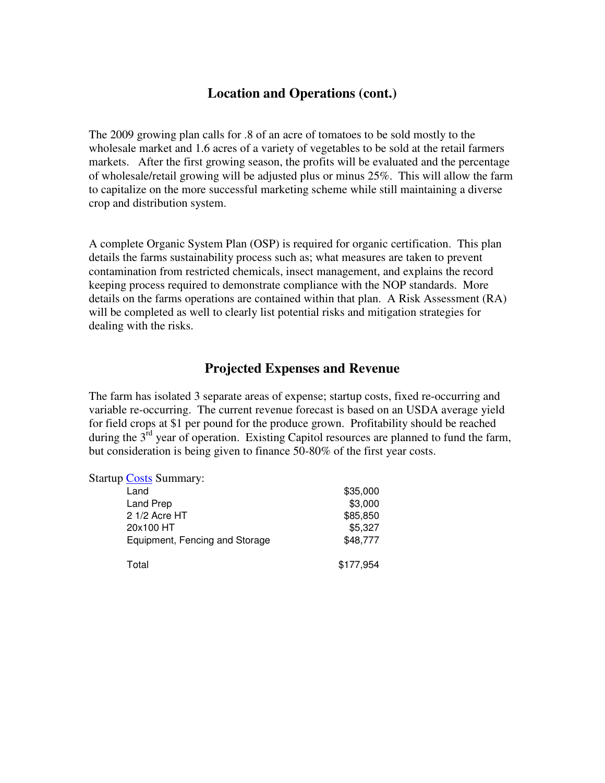# **Location and Operations (cont.)**

The 2009 growing plan calls for .8 of an acre of tomatoes to be sold mostly to the wholesale market and 1.6 acres of a variety of vegetables to be sold at the retail farmers markets. After the first growing season, the profits will be evaluated and the percentage of wholesale/retail growing will be adjusted plus or minus 25%. This will allow the farm to capitalize on the more successful marketing scheme while still maintaining a diverse crop and distribution system.

A complete Organic System Plan (OSP) is required for organic certification. This plan details the farms sustainability process such as; what measures are taken to prevent contamination from restricted chemicals, insect management, and explains the record keeping process required to demonstrate compliance with the NOP standards. More details on the farms operations are contained within that plan. A Risk Assessment (RA) will be completed as well to clearly list potential risks and mitigation strategies for dealing with the risks.

# **Projected Expenses and Revenue**

The farm has isolated 3 separate areas of expense; startup costs, fixed re-occurring and variable re-occurring. The current revenue forecast is based on an USDA average yield for field crops at \$1 per pound for the produce grown. Profitability should be reached during the  $3<sup>rd</sup>$  year of operation. Existing Capitol resources are planned to fund the farm, but consideration is being given to finance 50-80% of the first year costs.

| <b>Startup Costs Summary:</b>  |           |
|--------------------------------|-----------|
| Land                           | \$35,000  |
| Land Prep                      | \$3,000   |
| 2 1/2 Acre HT                  | \$85,850  |
| 20x100 HT                      | \$5,327   |
| Equipment, Fencing and Storage | \$48,777  |
| Total                          | \$177,954 |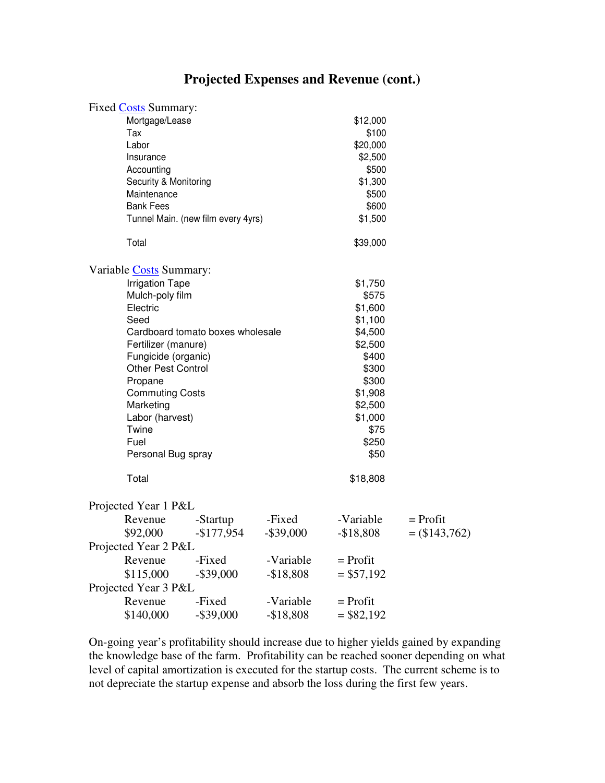# **Projected Expenses and Revenue (cont.)**

| Mortgage/Lease<br>\$12,000<br>Tax<br>\$100<br>Labor<br>\$20,000<br>\$2,500<br>Insurance<br>\$500<br>Accounting<br>\$1,300<br>Security & Monitoring<br>Maintenance<br>\$500<br><b>Bank Fees</b><br>\$600<br>Tunnel Main. (new film every 4yrs)<br>\$1,500<br>Total<br>\$39,000<br>Variable Costs Summary:<br><b>Irrigation Tape</b><br>\$1,750<br>Mulch-poly film<br>\$575<br>Electric<br>\$1,600<br>Seed<br>\$1,100<br>Cardboard tomato boxes wholesale<br>\$4,500<br>Fertilizer (manure)<br>\$2,500<br>\$400<br>Fungicide (organic) |
|--------------------------------------------------------------------------------------------------------------------------------------------------------------------------------------------------------------------------------------------------------------------------------------------------------------------------------------------------------------------------------------------------------------------------------------------------------------------------------------------------------------------------------------|
|                                                                                                                                                                                                                                                                                                                                                                                                                                                                                                                                      |
|                                                                                                                                                                                                                                                                                                                                                                                                                                                                                                                                      |
|                                                                                                                                                                                                                                                                                                                                                                                                                                                                                                                                      |
|                                                                                                                                                                                                                                                                                                                                                                                                                                                                                                                                      |
|                                                                                                                                                                                                                                                                                                                                                                                                                                                                                                                                      |
|                                                                                                                                                                                                                                                                                                                                                                                                                                                                                                                                      |
|                                                                                                                                                                                                                                                                                                                                                                                                                                                                                                                                      |
|                                                                                                                                                                                                                                                                                                                                                                                                                                                                                                                                      |
|                                                                                                                                                                                                                                                                                                                                                                                                                                                                                                                                      |
|                                                                                                                                                                                                                                                                                                                                                                                                                                                                                                                                      |
|                                                                                                                                                                                                                                                                                                                                                                                                                                                                                                                                      |
|                                                                                                                                                                                                                                                                                                                                                                                                                                                                                                                                      |
|                                                                                                                                                                                                                                                                                                                                                                                                                                                                                                                                      |
|                                                                                                                                                                                                                                                                                                                                                                                                                                                                                                                                      |
|                                                                                                                                                                                                                                                                                                                                                                                                                                                                                                                                      |
|                                                                                                                                                                                                                                                                                                                                                                                                                                                                                                                                      |
|                                                                                                                                                                                                                                                                                                                                                                                                                                                                                                                                      |
|                                                                                                                                                                                                                                                                                                                                                                                                                                                                                                                                      |
| Other Pest Control<br>\$300                                                                                                                                                                                                                                                                                                                                                                                                                                                                                                          |
| Propane<br>\$300                                                                                                                                                                                                                                                                                                                                                                                                                                                                                                                     |
| <b>Commuting Costs</b><br>\$1,908                                                                                                                                                                                                                                                                                                                                                                                                                                                                                                    |
| \$2,500<br>Marketing                                                                                                                                                                                                                                                                                                                                                                                                                                                                                                                 |
| Labor (harvest)<br>\$1,000                                                                                                                                                                                                                                                                                                                                                                                                                                                                                                           |
| Twine<br>\$75                                                                                                                                                                                                                                                                                                                                                                                                                                                                                                                        |
| Fuel<br>\$250                                                                                                                                                                                                                                                                                                                                                                                                                                                                                                                        |
| \$50<br>Personal Bug spray                                                                                                                                                                                                                                                                                                                                                                                                                                                                                                           |
| Total<br>\$18,808                                                                                                                                                                                                                                                                                                                                                                                                                                                                                                                    |
| Projected Year 1 P&L                                                                                                                                                                                                                                                                                                                                                                                                                                                                                                                 |
| -Variable<br>-Fixed<br>$=$ Profit<br>Revenue<br>-Startup                                                                                                                                                                                                                                                                                                                                                                                                                                                                             |
| $-$177,954$<br>$-$ \$39,000<br>\$92,000<br>$-$18,808$<br>$= (143, 762)$                                                                                                                                                                                                                                                                                                                                                                                                                                                              |
| Projected Year 2 P&L                                                                                                                                                                                                                                                                                                                                                                                                                                                                                                                 |
| Revenue<br>-Fixed<br>-Variable<br>$=$ Profit                                                                                                                                                                                                                                                                                                                                                                                                                                                                                         |
| \$115,000<br>$= $57,192$<br>$-$ \$39,000<br>$-$18,808$                                                                                                                                                                                                                                                                                                                                                                                                                                                                               |
| Projected Year 3 P&L                                                                                                                                                                                                                                                                                                                                                                                                                                                                                                                 |
| -Fixed<br>$=$ Profit<br>Revenue<br>-Variable                                                                                                                                                                                                                                                                                                                                                                                                                                                                                         |
| \$140,000<br>$-$ \$39,000<br>$-$18,808$<br>$= $82,192$                                                                                                                                                                                                                                                                                                                                                                                                                                                                               |

On-going year's profitability should increase due to higher yields gained by expanding the knowledge base of the farm. Profitability can be reached sooner depending on what level of capital amortization is executed for the startup costs. The current scheme is to not depreciate the startup expense and absorb the loss during the first few years.